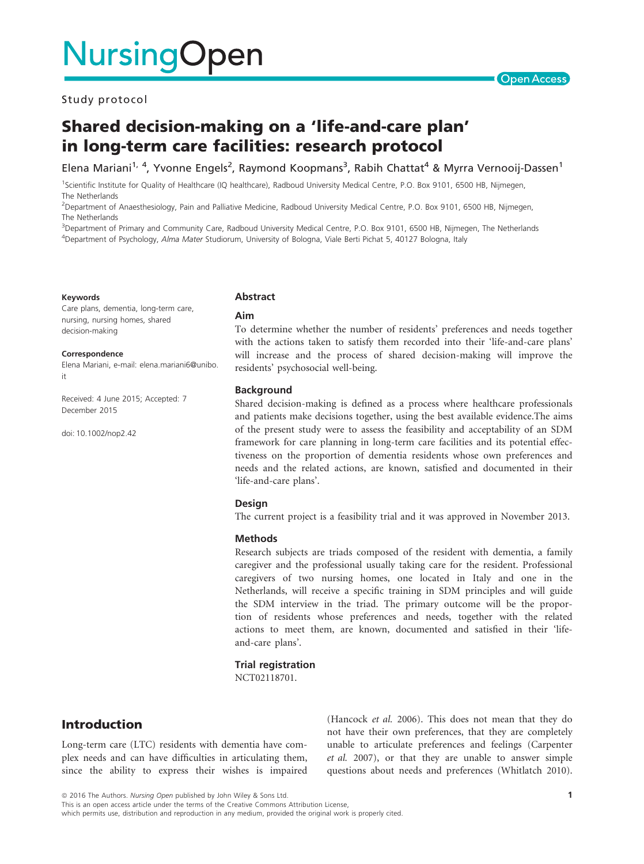# **NursingOpen**

#### Study protocol



# Shared decision-making on a 'life-and-care plan' in long-term care facilities: research protocol

Elena Mariani<sup>1, 4</sup>, Yvonne Engels<sup>2</sup>, Raymond Koopmans<sup>3</sup>, Rabih Chattat<sup>4</sup> & Myrra Vernooij-Dassen<sup>1</sup>

<sup>1</sup>Scientific Institute for Quality of Healthcare (IQ healthcare), Radboud University Medical Centre, P.O. Box 9101, 6500 HB, Nijmegen, The Netherlands

2 Department of Anaesthesiology, Pain and Palliative Medicine, Radboud University Medical Centre, P.O. Box 9101, 6500 HB, Nijmegen, The Netherlands

<sup>3</sup>Department of Primary and Community Care, Radboud University Medical Centre, P.O. Box 9101, 6500 HB, Nijmegen, The Netherlands 4 Department of Psychology, Alma Mater Studiorum, University of Bologna, Viale Berti Pichat 5, 40127 Bologna, Italy

#### Keywords

Care plans, dementia, long-term care, nursing, nursing homes, shared decision-making

#### Correspondence

Elena Mariani, e-mail: elena.mariani6@unibo. it

Received: 4 June 2015; Accepted: 7 December 2015

doi: 10.1002/nop2.42

#### Abstract

#### Aim

To determine whether the number of residents' preferences and needs together with the actions taken to satisfy them recorded into their 'life-and-care plans' will increase and the process of shared decision-making will improve the residents' psychosocial well-being.

#### Background

Shared decision-making is defined as a process where healthcare professionals and patients make decisions together, using the best available evidence.The aims of the present study were to assess the feasibility and acceptability of an SDM framework for care planning in long-term care facilities and its potential effectiveness on the proportion of dementia residents whose own preferences and needs and the related actions, are known, satisfied and documented in their 'life-and-care plans'.

#### **Design**

The current project is a feasibility trial and it was approved in November 2013.

#### Methods

Research subjects are triads composed of the resident with dementia, a family caregiver and the professional usually taking care for the resident. Professional caregivers of two nursing homes, one located in Italy and one in the Netherlands, will receive a specific training in SDM principles and will guide the SDM interview in the triad. The primary outcome will be the proportion of residents whose preferences and needs, together with the related actions to meet them, are known, documented and satisfied in their 'lifeand-care plans'.

#### Trial registration

NCT02118701.

# Introduction

Long-term care (LTC) residents with dementia have complex needs and can have difficulties in articulating them, since the ability to express their wishes is impaired (Hancock et al. 2006). This does not mean that they do not have their own preferences, that they are completely unable to articulate preferences and feelings (Carpenter et al. 2007), or that they are unable to answer simple questions about needs and preferences (Whitlatch 2010).

ª 2016 The Authors. Nursing Open published by John Wiley & Sons Ltd.

which permits use, distribution and reproduction in any medium, provided the original work is properly cited.

This is an open access article under the terms of the [Creative Commons Attribution](http://creativecommons.org/licenses/by/4.0/) License,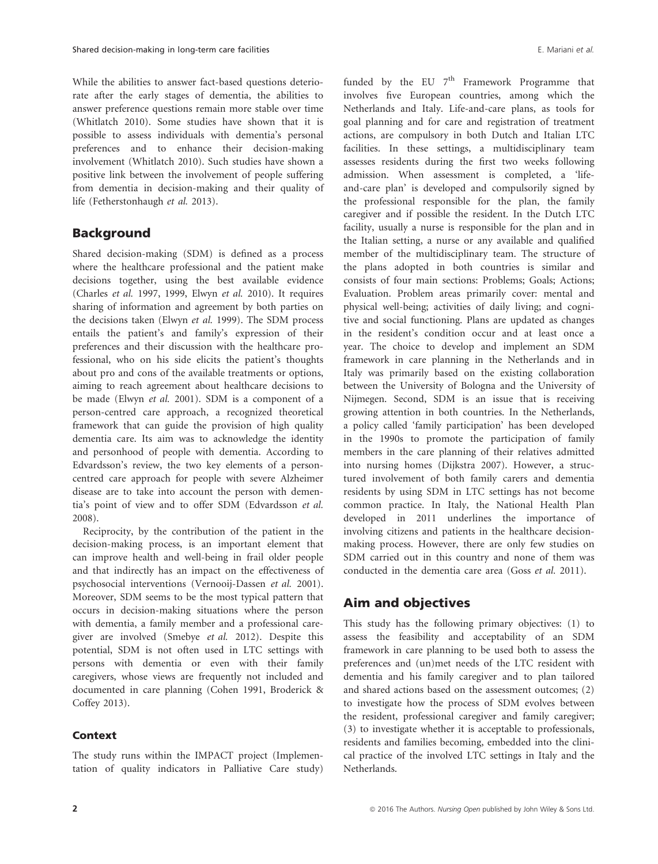While the abilities to answer fact-based questions deteriorate after the early stages of dementia, the abilities to answer preference questions remain more stable over time (Whitlatch 2010). Some studies have shown that it is possible to assess individuals with dementia's personal preferences and to enhance their decision-making involvement (Whitlatch 2010). Such studies have shown a positive link between the involvement of people suffering from dementia in decision-making and their quality of life (Fetherstonhaugh et al. 2013).

# Background

Shared decision-making (SDM) is defined as a process where the healthcare professional and the patient make decisions together, using the best available evidence (Charles et al. 1997, 1999, Elwyn et al. 2010). It requires sharing of information and agreement by both parties on the decisions taken (Elwyn et al. 1999). The SDM process entails the patient's and family's expression of their preferences and their discussion with the healthcare professional, who on his side elicits the patient's thoughts about pro and cons of the available treatments or options, aiming to reach agreement about healthcare decisions to be made (Elwyn et al. 2001). SDM is a component of a person-centred care approach, a recognized theoretical framework that can guide the provision of high quality dementia care. Its aim was to acknowledge the identity and personhood of people with dementia. According to Edvardsson's review, the two key elements of a personcentred care approach for people with severe Alzheimer disease are to take into account the person with dementia's point of view and to offer SDM (Edvardsson et al. 2008).

Reciprocity, by the contribution of the patient in the decision-making process, is an important element that can improve health and well-being in frail older people and that indirectly has an impact on the effectiveness of psychosocial interventions (Vernooij-Dassen et al. 2001). Moreover, SDM seems to be the most typical pattern that occurs in decision-making situations where the person with dementia, a family member and a professional caregiver are involved (Smebye et al. 2012). Despite this potential, SDM is not often used in LTC settings with persons with dementia or even with their family caregivers, whose views are frequently not included and documented in care planning (Cohen 1991, Broderick & Coffey 2013).

#### Context

The study runs within the IMPACT project (Implementation of quality indicators in Palliative Care study) funded by the EU  $7<sup>th</sup>$  Framework Programme that involves five European countries, among which the Netherlands and Italy. Life-and-care plans, as tools for goal planning and for care and registration of treatment actions, are compulsory in both Dutch and Italian LTC facilities. In these settings, a multidisciplinary team assesses residents during the first two weeks following admission. When assessment is completed, a 'lifeand-care plan' is developed and compulsorily signed by the professional responsible for the plan, the family caregiver and if possible the resident. In the Dutch LTC facility, usually a nurse is responsible for the plan and in the Italian setting, a nurse or any available and qualified member of the multidisciplinary team. The structure of the plans adopted in both countries is similar and consists of four main sections: Problems; Goals; Actions; Evaluation. Problem areas primarily cover: mental and physical well-being; activities of daily living; and cognitive and social functioning. Plans are updated as changes in the resident's condition occur and at least once a year. The choice to develop and implement an SDM framework in care planning in the Netherlands and in Italy was primarily based on the existing collaboration between the University of Bologna and the University of Nijmegen. Second, SDM is an issue that is receiving growing attention in both countries. In the Netherlands, a policy called 'family participation' has been developed in the 1990s to promote the participation of family members in the care planning of their relatives admitted into nursing homes (Dijkstra 2007). However, a structured involvement of both family carers and dementia residents by using SDM in LTC settings has not become common practice. In Italy, the National Health Plan developed in 2011 underlines the importance of involving citizens and patients in the healthcare decisionmaking process. However, there are only few studies on SDM carried out in this country and none of them was conducted in the dementia care area (Goss et al. 2011).

# Aim and objectives

This study has the following primary objectives: (1) to assess the feasibility and acceptability of an SDM framework in care planning to be used both to assess the preferences and (un)met needs of the LTC resident with dementia and his family caregiver and to plan tailored and shared actions based on the assessment outcomes; (2) to investigate how the process of SDM evolves between the resident, professional caregiver and family caregiver; (3) to investigate whether it is acceptable to professionals, residents and families becoming, embedded into the clinical practice of the involved LTC settings in Italy and the Netherlands.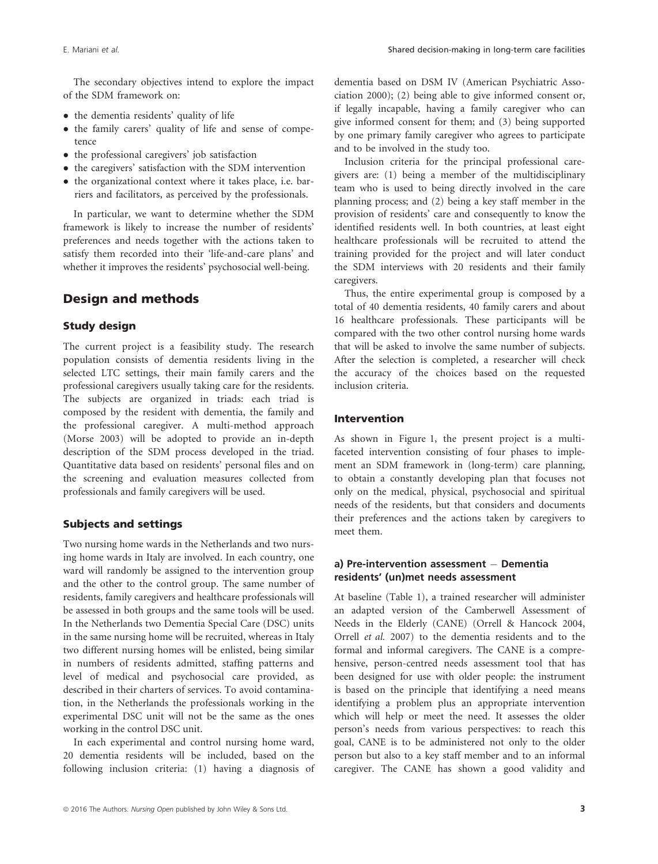The secondary objectives intend to explore the impact of the SDM framework on:

- the dementia residents' quality of life
- the family carers' quality of life and sense of competence
- the professional caregivers' job satisfaction
- the caregivers' satisfaction with the SDM intervention
- the organizational context where it takes place, i.e. barriers and facilitators, as perceived by the professionals.

In particular, we want to determine whether the SDM framework is likely to increase the number of residents' preferences and needs together with the actions taken to satisfy them recorded into their 'life-and-care plans' and whether it improves the residents' psychosocial well-being.

## Design and methods

#### Study design

The current project is a feasibility study. The research population consists of dementia residents living in the selected LTC settings, their main family carers and the professional caregivers usually taking care for the residents. The subjects are organized in triads: each triad is composed by the resident with dementia, the family and the professional caregiver. A multi-method approach (Morse 2003) will be adopted to provide an in-depth description of the SDM process developed in the triad. Quantitative data based on residents' personal files and on the screening and evaluation measures collected from professionals and family caregivers will be used.

#### Subjects and settings

Two nursing home wards in the Netherlands and two nursing home wards in Italy are involved. In each country, one ward will randomly be assigned to the intervention group and the other to the control group. The same number of residents, family caregivers and healthcare professionals will be assessed in both groups and the same tools will be used. In the Netherlands two Dementia Special Care (DSC) units in the same nursing home will be recruited, whereas in Italy two different nursing homes will be enlisted, being similar in numbers of residents admitted, staffing patterns and level of medical and psychosocial care provided, as described in their charters of services. To avoid contamination, in the Netherlands the professionals working in the experimental DSC unit will not be the same as the ones working in the control DSC unit.

In each experimental and control nursing home ward, 20 dementia residents will be included, based on the following inclusion criteria: (1) having a diagnosis of dementia based on DSM IV (American Psychiatric Association 2000); (2) being able to give informed consent or, if legally incapable, having a family caregiver who can give informed consent for them; and (3) being supported by one primary family caregiver who agrees to participate and to be involved in the study too.

Inclusion criteria for the principal professional caregivers are: (1) being a member of the multidisciplinary team who is used to being directly involved in the care planning process; and (2) being a key staff member in the provision of residents' care and consequently to know the identified residents well. In both countries, at least eight healthcare professionals will be recruited to attend the training provided for the project and will later conduct the SDM interviews with 20 residents and their family caregivers.

Thus, the entire experimental group is composed by a total of 40 dementia residents, 40 family carers and about 16 healthcare professionals. These participants will be compared with the two other control nursing home wards that will be asked to involve the same number of subjects. After the selection is completed, a researcher will check the accuracy of the choices based on the requested inclusion criteria.

#### Intervention

As shown in Figure 1, the present project is a multifaceted intervention consisting of four phases to implement an SDM framework in (long-term) care planning, to obtain a constantly developing plan that focuses not only on the medical, physical, psychosocial and spiritual needs of the residents, but that considers and documents their preferences and the actions taken by caregivers to meet them.

#### a) Pre-intervention assessment  $-$  Dementia residents' (un)met needs assessment

At baseline (Table 1), a trained researcher will administer an adapted version of the Camberwell Assessment of Needs in the Elderly (CANE) (Orrell & Hancock 2004, Orrell et al. 2007) to the dementia residents and to the formal and informal caregivers. The CANE is a comprehensive, person-centred needs assessment tool that has been designed for use with older people: the instrument is based on the principle that identifying a need means identifying a problem plus an appropriate intervention which will help or meet the need. It assesses the older person's needs from various perspectives: to reach this goal, CANE is to be administered not only to the older person but also to a key staff member and to an informal caregiver. The CANE has shown a good validity and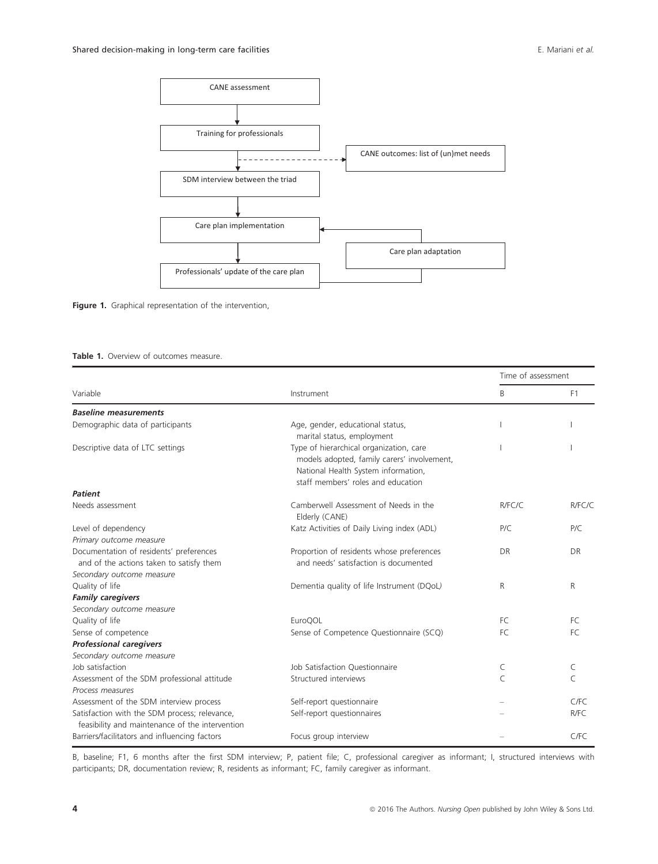

Figure 1. Graphical representation of the intervention,

#### Table 1. Overview of outcomes measure.

| Variable                                                                                         | Instrument                                                                                                                                                          | Time of assessment |                |
|--------------------------------------------------------------------------------------------------|---------------------------------------------------------------------------------------------------------------------------------------------------------------------|--------------------|----------------|
|                                                                                                  |                                                                                                                                                                     | Β                  | F <sub>1</sub> |
| <b>Baseline measurements</b>                                                                     |                                                                                                                                                                     |                    |                |
| Demographic data of participants                                                                 | Age, gender, educational status,<br>marital status, employment                                                                                                      |                    |                |
| Descriptive data of LTC settings                                                                 | Type of hierarchical organization, care<br>models adopted, family carers' involvement,<br>National Health System information,<br>staff members' roles and education |                    |                |
| <b>Patient</b>                                                                                   |                                                                                                                                                                     |                    |                |
| Needs assessment                                                                                 | Camberwell Assessment of Needs in the<br>Elderly (CANE)                                                                                                             | R/FC/C             | R/FC/C         |
| Level of dependency                                                                              | Katz Activities of Daily Living index (ADL)                                                                                                                         | P/C                | P/C            |
| Primary outcome measure                                                                          |                                                                                                                                                                     |                    |                |
| Documentation of residents' preferences<br>and of the actions taken to satisfy them              | Proportion of residents whose preferences<br>and needs' satisfaction is documented                                                                                  | <b>DR</b>          | <b>DR</b>      |
| Secondary outcome measure                                                                        |                                                                                                                                                                     |                    |                |
| Quality of life                                                                                  | Dementia quality of life Instrument (DQoL)                                                                                                                          | R                  | R              |
| <b>Family caregivers</b>                                                                         |                                                                                                                                                                     |                    |                |
| Secondary outcome measure                                                                        |                                                                                                                                                                     |                    |                |
| Quality of life                                                                                  | EuroQOL                                                                                                                                                             | FC.                | FC.            |
| Sense of competence                                                                              | Sense of Competence Questionnaire (SCQ)                                                                                                                             | FC.                | FC.            |
| <b>Professional caregivers</b>                                                                   |                                                                                                                                                                     |                    |                |
| Secondary outcome measure                                                                        |                                                                                                                                                                     |                    |                |
| Job satisfaction                                                                                 | Job Satisfaction Questionnaire                                                                                                                                      | C                  | C              |
| Assessment of the SDM professional attitude                                                      | Structured interviews                                                                                                                                               | C                  | C              |
| Process measures                                                                                 |                                                                                                                                                                     |                    |                |
| Assessment of the SDM interview process                                                          | Self-report questionnaire                                                                                                                                           |                    | C/FC           |
| Satisfaction with the SDM process; relevance,<br>feasibility and maintenance of the intervention | Self-report questionnaires                                                                                                                                          |                    | R/FC           |
| Barriers/facilitators and influencing factors                                                    | Focus group interview                                                                                                                                               |                    | C/FC           |

B, baseline; F1, 6 months after the first SDM interview; P, patient file; C, professional caregiver as informant; I, structured interviews with participants; DR, documentation review; R, residents as informant; FC, family caregiver as informant.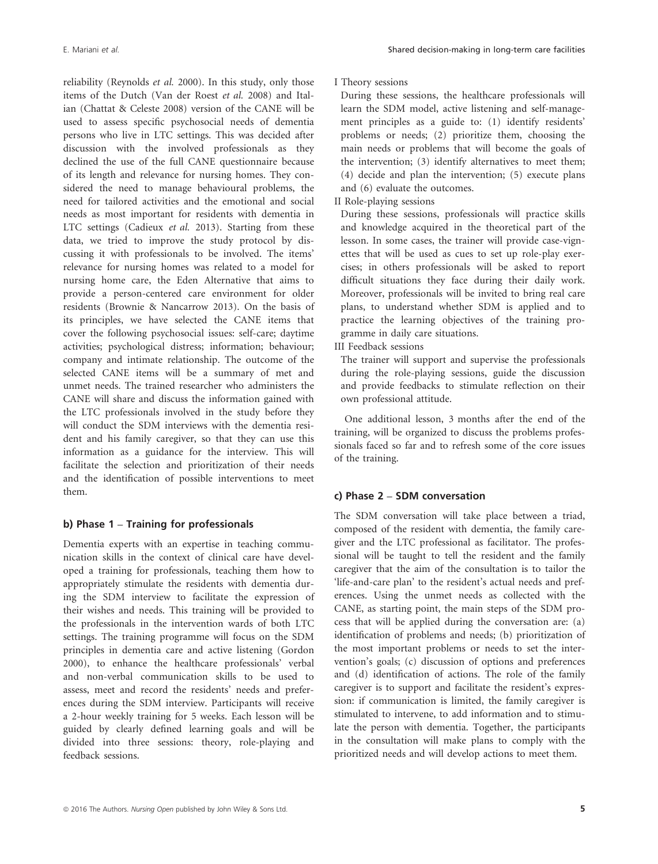reliability (Reynolds et al. 2000). In this study, only those items of the Dutch (Van der Roest et al. 2008) and Italian (Chattat & Celeste 2008) version of the CANE will be used to assess specific psychosocial needs of dementia persons who live in LTC settings. This was decided after discussion with the involved professionals as they declined the use of the full CANE questionnaire because of its length and relevance for nursing homes. They considered the need to manage behavioural problems, the need for tailored activities and the emotional and social needs as most important for residents with dementia in LTC settings (Cadieux et al. 2013). Starting from these data, we tried to improve the study protocol by discussing it with professionals to be involved. The items' relevance for nursing homes was related to a model for nursing home care, the Eden Alternative that aims to provide a person-centered care environment for older residents (Brownie & Nancarrow 2013). On the basis of its principles, we have selected the CANE items that cover the following psychosocial issues: self-care; daytime activities; psychological distress; information; behaviour; company and intimate relationship. The outcome of the selected CANE items will be a summary of met and unmet needs. The trained researcher who administers the CANE will share and discuss the information gained with the LTC professionals involved in the study before they will conduct the SDM interviews with the dementia resident and his family caregiver, so that they can use this information as a guidance for the interview. This will facilitate the selection and prioritization of their needs and the identification of possible interventions to meet them.

#### b) Phase 1 – Training for professionals

Dementia experts with an expertise in teaching communication skills in the context of clinical care have developed a training for professionals, teaching them how to appropriately stimulate the residents with dementia during the SDM interview to facilitate the expression of their wishes and needs. This training will be provided to the professionals in the intervention wards of both LTC settings. The training programme will focus on the SDM principles in dementia care and active listening (Gordon 2000), to enhance the healthcare professionals' verbal and non-verbal communication skills to be used to assess, meet and record the residents' needs and preferences during the SDM interview. Participants will receive a 2-hour weekly training for 5 weeks. Each lesson will be guided by clearly defined learning goals and will be divided into three sessions: theory, role-playing and feedback sessions.

#### I Theory sessions

During these sessions, the healthcare professionals will learn the SDM model, active listening and self-management principles as a guide to: (1) identify residents' problems or needs; (2) prioritize them, choosing the main needs or problems that will become the goals of the intervention; (3) identify alternatives to meet them; (4) decide and plan the intervention; (5) execute plans and (6) evaluate the outcomes.

II Role-playing sessions

During these sessions, professionals will practice skills and knowledge acquired in the theoretical part of the lesson. In some cases, the trainer will provide case-vignettes that will be used as cues to set up role-play exercises; in others professionals will be asked to report difficult situations they face during their daily work. Moreover, professionals will be invited to bring real care plans, to understand whether SDM is applied and to practice the learning objectives of the training programme in daily care situations.

III Feedback sessions

The trainer will support and supervise the professionals during the role-playing sessions, guide the discussion and provide feedbacks to stimulate reflection on their own professional attitude.

One additional lesson, 3 months after the end of the training, will be organized to discuss the problems professionals faced so far and to refresh some of the core issues of the training.

#### c) Phase 2 – SDM conversation

The SDM conversation will take place between a triad, composed of the resident with dementia, the family caregiver and the LTC professional as facilitator. The professional will be taught to tell the resident and the family caregiver that the aim of the consultation is to tailor the 'life-and-care plan' to the resident's actual needs and preferences. Using the unmet needs as collected with the CANE, as starting point, the main steps of the SDM process that will be applied during the conversation are: (a) identification of problems and needs; (b) prioritization of the most important problems or needs to set the intervention's goals; (c) discussion of options and preferences and (d) identification of actions. The role of the family caregiver is to support and facilitate the resident's expression: if communication is limited, the family caregiver is stimulated to intervene, to add information and to stimulate the person with dementia. Together, the participants in the consultation will make plans to comply with the prioritized needs and will develop actions to meet them.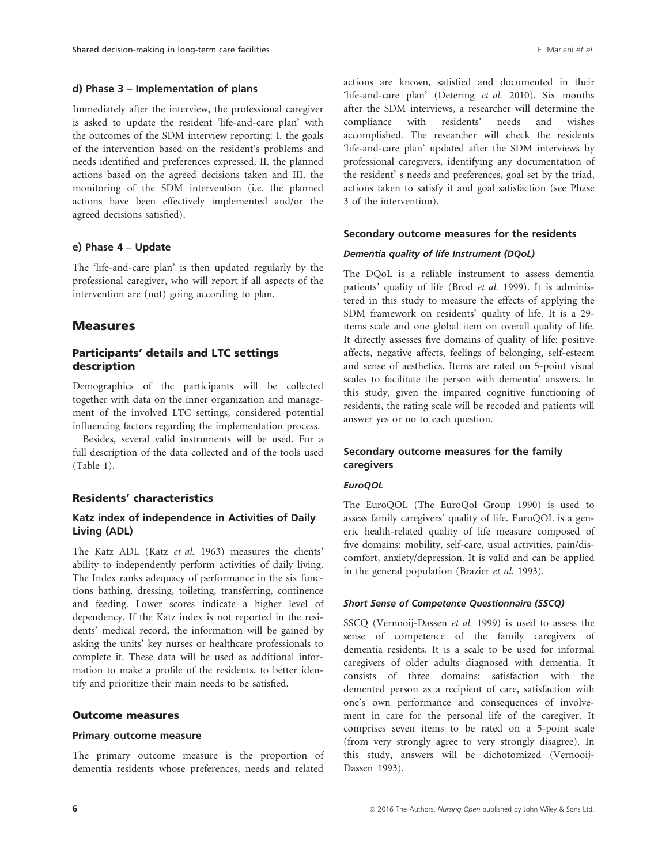#### d) Phase 3 – Implementation of plans

Immediately after the interview, the professional caregiver is asked to update the resident 'life-and-care plan' with the outcomes of the SDM interview reporting: I. the goals of the intervention based on the resident's problems and needs identified and preferences expressed, II. the planned actions based on the agreed decisions taken and III. the monitoring of the SDM intervention (i.e. the planned actions have been effectively implemented and/or the agreed decisions satisfied).

#### e) Phase 4 – Update

The 'life-and-care plan' is then updated regularly by the professional caregiver, who will report if all aspects of the intervention are (not) going according to plan.

#### Measures

#### Participants' details and LTC settings description

Demographics of the participants will be collected together with data on the inner organization and management of the involved LTC settings, considered potential influencing factors regarding the implementation process.

Besides, several valid instruments will be used. For a full description of the data collected and of the tools used (Table 1).

#### Residents' characteristics

#### Katz index of independence in Activities of Daily Living (ADL)

The Katz ADL (Katz et al. 1963) measures the clients' ability to independently perform activities of daily living. The Index ranks adequacy of performance in the six functions bathing, dressing, toileting, transferring, continence and feeding. Lower scores indicate a higher level of dependency. If the Katz index is not reported in the residents' medical record, the information will be gained by asking the units' key nurses or healthcare professionals to complete it. These data will be used as additional information to make a profile of the residents, to better identify and prioritize their main needs to be satisfied.

#### Outcome measures

#### Primary outcome measure

The primary outcome measure is the proportion of dementia residents whose preferences, needs and related actions are known, satisfied and documented in their 'life-and-care plan' (Detering et al. 2010). Six months after the SDM interviews, a researcher will determine the compliance with residents' needs and wishes accomplished. The researcher will check the residents 'life-and-care plan' updated after the SDM interviews by professional caregivers, identifying any documentation of the resident' s needs and preferences, goal set by the triad, actions taken to satisfy it and goal satisfaction (see Phase 3 of the intervention).

#### Secondary outcome measures for the residents

#### Dementia quality of life Instrument (DQoL)

The DQoL is a reliable instrument to assess dementia patients' quality of life (Brod et al. 1999). It is administered in this study to measure the effects of applying the SDM framework on residents' quality of life. It is a 29 items scale and one global item on overall quality of life. It directly assesses five domains of quality of life: positive affects, negative affects, feelings of belonging, self-esteem and sense of aesthetics. Items are rated on 5-point visual scales to facilitate the person with dementia' answers. In this study, given the impaired cognitive functioning of residents, the rating scale will be recoded and patients will answer yes or no to each question.

#### Secondary outcome measures for the family caregivers

#### **EuroOOL** EuroQOL

The EuroQOL (The EuroQol Group 1990) is used to assess family caregivers' quality of life. EuroQOL is a generic health-related quality of life measure composed of five domains: mobility, self-care, usual activities, pain/discomfort, anxiety/depression. It is valid and can be applied in the general population (Brazier et al. 1993).

#### Short Sense of Competence Questionnaire (SSCQ)

SSCQ (Vernooij-Dassen et al. 1999) is used to assess the sense of competence of the family caregivers of dementia residents. It is a scale to be used for informal caregivers of older adults diagnosed with dementia. It consists of three domains: satisfaction with the demented person as a recipient of care, satisfaction with one's own performance and consequences of involvement in care for the personal life of the caregiver. It comprises seven items to be rated on a 5-point scale (from very strongly agree to very strongly disagree). In this study, answers will be dichotomized (Vernooij-Dassen 1993).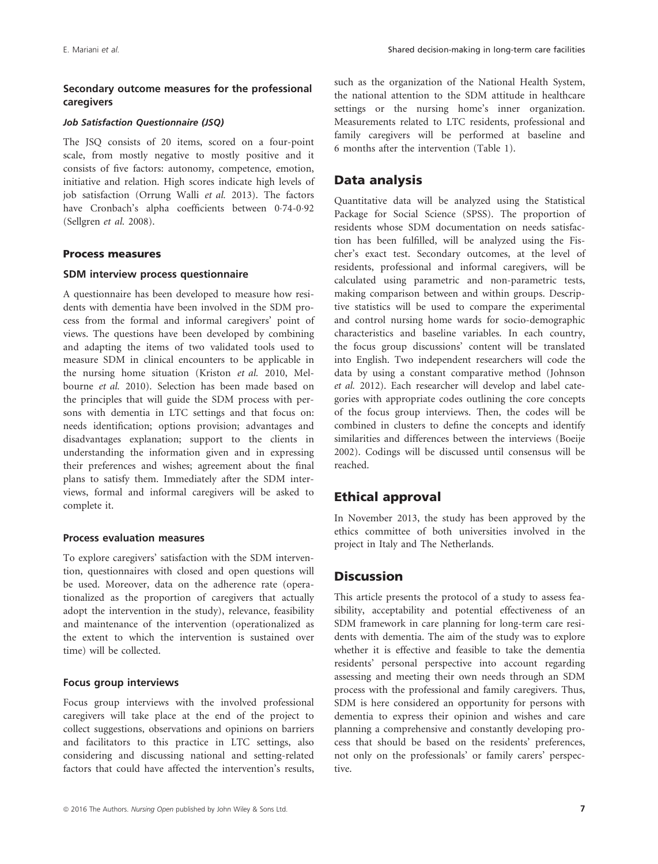#### Secondary outcome measures for the professional caregivers

# Job Satisfaction Questionnaire (JSQ)

The JSQ consists of 20 items, scored on a four-point scale, from mostly negative to mostly positive and it consists of five factors: autonomy, competence, emotion, initiative and relation. High scores indicate high levels of job satisfaction (Orrung Walli et al. 2013). The factors have Cronbach's alpha coefficients between 0.74-0.92 (Sellgren et al. 2008).

#### Process measures

#### SDM interview process questionnaire

A questionnaire has been developed to measure how residents with dementia have been involved in the SDM process from the formal and informal caregivers' point of views. The questions have been developed by combining and adapting the items of two validated tools used to measure SDM in clinical encounters to be applicable in the nursing home situation (Kriston et al. 2010, Melbourne et al. 2010). Selection has been made based on the principles that will guide the SDM process with persons with dementia in LTC settings and that focus on: needs identification; options provision; advantages and disadvantages explanation; support to the clients in understanding the information given and in expressing their preferences and wishes; agreement about the final plans to satisfy them. Immediately after the SDM interviews, formal and informal caregivers will be asked to complete it.

#### Process evaluation measures

To explore caregivers' satisfaction with the SDM intervention, questionnaires with closed and open questions will be used. Moreover, data on the adherence rate (operationalized as the proportion of caregivers that actually adopt the intervention in the study), relevance, feasibility and maintenance of the intervention (operationalized as the extent to which the intervention is sustained over time) will be collected.

#### Focus group interviews

Focus group interviews with the involved professional caregivers will take place at the end of the project to collect suggestions, observations and opinions on barriers and facilitators to this practice in LTC settings, also considering and discussing national and setting-related factors that could have affected the intervention's results, such as the organization of the National Health System, the national attention to the SDM attitude in healthcare settings or the nursing home's inner organization. Measurements related to LTC residents, professional and family caregivers will be performed at baseline and 6 months after the intervention (Table 1).

# Data analysis

Quantitative data will be analyzed using the Statistical Package for Social Science (SPSS). The proportion of residents whose SDM documentation on needs satisfaction has been fulfilled, will be analyzed using the Fischer's exact test. Secondary outcomes, at the level of residents, professional and informal caregivers, will be calculated using parametric and non-parametric tests, making comparison between and within groups. Descriptive statistics will be used to compare the experimental and control nursing home wards for socio-demographic characteristics and baseline variables. In each country, the focus group discussions' content will be translated into English. Two independent researchers will code the data by using a constant comparative method (Johnson et al. 2012). Each researcher will develop and label categories with appropriate codes outlining the core concepts of the focus group interviews. Then, the codes will be combined in clusters to define the concepts and identify similarities and differences between the interviews (Boeije 2002). Codings will be discussed until consensus will be reached.

#### Ethical approval

In November 2013, the study has been approved by the ethics committee of both universities involved in the project in Italy and The Netherlands.

#### **Discussion**

This article presents the protocol of a study to assess feasibility, acceptability and potential effectiveness of an SDM framework in care planning for long-term care residents with dementia. The aim of the study was to explore whether it is effective and feasible to take the dementia residents' personal perspective into account regarding assessing and meeting their own needs through an SDM process with the professional and family caregivers. Thus, SDM is here considered an opportunity for persons with dementia to express their opinion and wishes and care planning a comprehensive and constantly developing process that should be based on the residents' preferences, not only on the professionals' or family carers' perspective.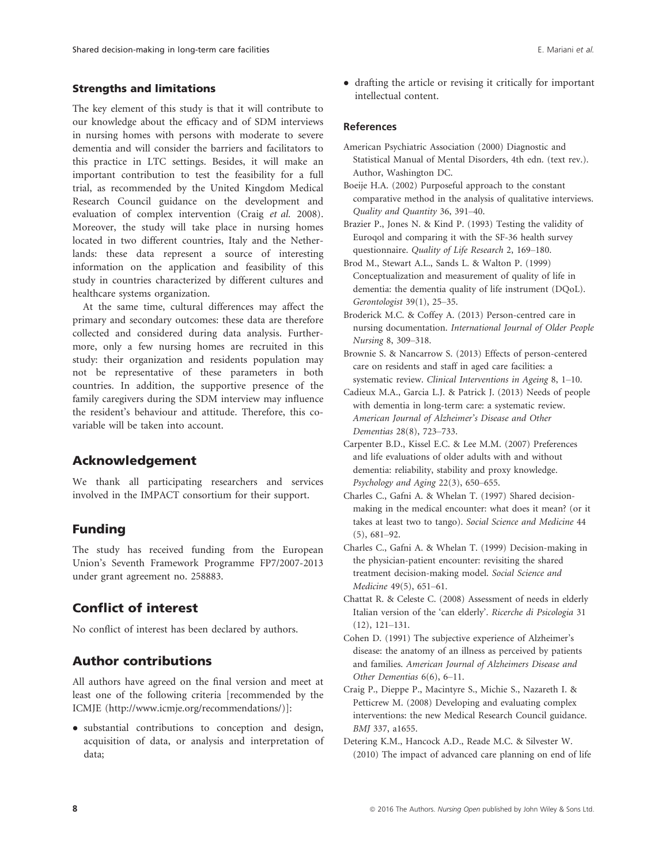#### Strengths and limitations

The key element of this study is that it will contribute to our knowledge about the efficacy and of SDM interviews in nursing homes with persons with moderate to severe dementia and will consider the barriers and facilitators to this practice in LTC settings. Besides, it will make an important contribution to test the feasibility for a full trial, as recommended by the United Kingdom Medical Research Council guidance on the development and evaluation of complex intervention (Craig et al. 2008). Moreover, the study will take place in nursing homes located in two different countries, Italy and the Netherlands: these data represent a source of interesting information on the application and feasibility of this study in countries characterized by different cultures and healthcare systems organization.

At the same time, cultural differences may affect the primary and secondary outcomes: these data are therefore collected and considered during data analysis. Furthermore, only a few nursing homes are recruited in this study: their organization and residents population may not be representative of these parameters in both countries. In addition, the supportive presence of the family caregivers during the SDM interview may influence the resident's behaviour and attitude. Therefore, this covariable will be taken into account.

# Acknowledgement

We thank all participating researchers and services involved in the IMPACT consortium for their support.

## Funding

The study has received funding from the European Union's Seventh Framework Programme FP7/2007-2013 under grant agreement no. 258883.

# Conflict of interest

No conflict of interest has been declared by authors.

## Author contributions

All authors have agreed on the final version and meet at least one of the following criteria [recommended by the ICMJE ([http://www.icmje.org/recommendations/\)](http://www.icmje.org/recommendations/)]:

 substantial contributions to conception and design, acquisition of data, or analysis and interpretation of data;

 drafting the article or revising it critically for important intellectual content.

#### References

- American Psychiatric Association (2000) Diagnostic and Statistical Manual of Mental Disorders, 4th edn. (text rev.). Author, Washington DC.
- Boeije H.A. (2002) Purposeful approach to the constant comparative method in the analysis of qualitative interviews. Quality and Quantity 36, 391–40.
- Brazier P., Jones N. & Kind P. (1993) Testing the validity of Euroqol and comparing it with the SF-36 health survey questionnaire. Quality of Life Research 2, 169–180.
- Brod M., Stewart A.L., Sands L. & Walton P. (1999) Conceptualization and measurement of quality of life in dementia: the dementia quality of life instrument (DQoL). Gerontologist 39(1), 25–35.
- Broderick M.C. & Coffey A. (2013) Person-centred care in nursing documentation. International Journal of Older People Nursing 8, 309–318.
- Brownie S. & Nancarrow S. (2013) Effects of person-centered care on residents and staff in aged care facilities: a systematic review. Clinical Interventions in Ageing 8, 1–10.
- Cadieux M.A., Garcia L.J. & Patrick J. (2013) Needs of people with dementia in long-term care: a systematic review. American Journal of Alzheimer's Disease and Other Dementias 28(8), 723–733.
- Carpenter B.D., Kissel E.C. & Lee M.M. (2007) Preferences and life evaluations of older adults with and without dementia: reliability, stability and proxy knowledge. Psychology and Aging 22(3), 650–655.
- Charles C., Gafni A. & Whelan T. (1997) Shared decisionmaking in the medical encounter: what does it mean? (or it takes at least two to tango). Social Science and Medicine 44 (5), 681–92.
- Charles C., Gafni A. & Whelan T. (1999) Decision-making in the physician-patient encounter: revisiting the shared treatment decision-making model. Social Science and Medicine 49(5), 651–61.
- Chattat R. & Celeste C. (2008) Assessment of needs in elderly Italian version of the 'can elderly'. Ricerche di Psicologia 31 (12), 121–131.
- Cohen D. (1991) The subjective experience of Alzheimer's disease: the anatomy of an illness as perceived by patients and families. American Journal of Alzheimers Disease and Other Dementias 6(6), 6–11.
- Craig P., Dieppe P., Macintyre S., Michie S., Nazareth I. & Petticrew M. (2008) Developing and evaluating complex interventions: the new Medical Research Council guidance. BMJ 337, a1655.
- Detering K.M., Hancock A.D., Reade M.C. & Silvester W. (2010) The impact of advanced care planning on end of life